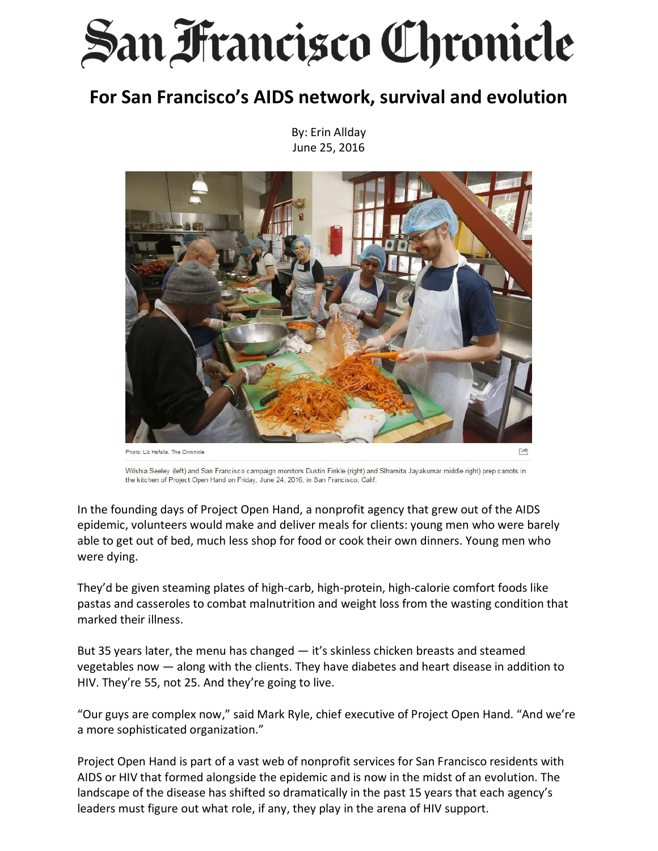## **San Francisco Chronicle**

## **For San Francisco's AIDS network, survival and evolution**

By: Erin Allday June 25, 2016



Wilshia Seeley (left) and San Francisco campaign monitors Dustin Finkle (right) and Slhamita Jayakumar middle right) prep carrots in the kitchen of Project Open Hand on Friday, June 24, 2016, in San Francisco, Calif.

In the founding days of Project Open Hand, a nonprofit agency that grew out of the AIDS epidemic, volunteers would make and deliver meals for clients: young men who were barely able to get out of bed, much less shop for food or cook their own dinners. Young men who were dying.

They'd be given steaming plates of high-carb, high-protein, high-calorie comfort foods like pastas and casseroles to combat malnutrition and weight loss from the wasting condition that marked their illness.

But 35 years later, the menu has changed — it's skinless chicken breasts and steamed vegetables now — along with the clients. They have diabetes and heart disease in addition to HIV. They're 55, not 25. And they're going to live.

"Our guys are complex now," said Mark Ryle, chief executive of Project Open Hand. "And we're a more sophisticated organization."

Project Open Hand is part of a vast web of nonprofit services for San Francisco residents with AIDS or HIV that formed alongside the epidemic and is now in the midst of an evolution. The landscape of the disease has shifted so dramatically in the past 15 years that each agency's leaders must figure out what role, if any, they play in the arena of HIV support.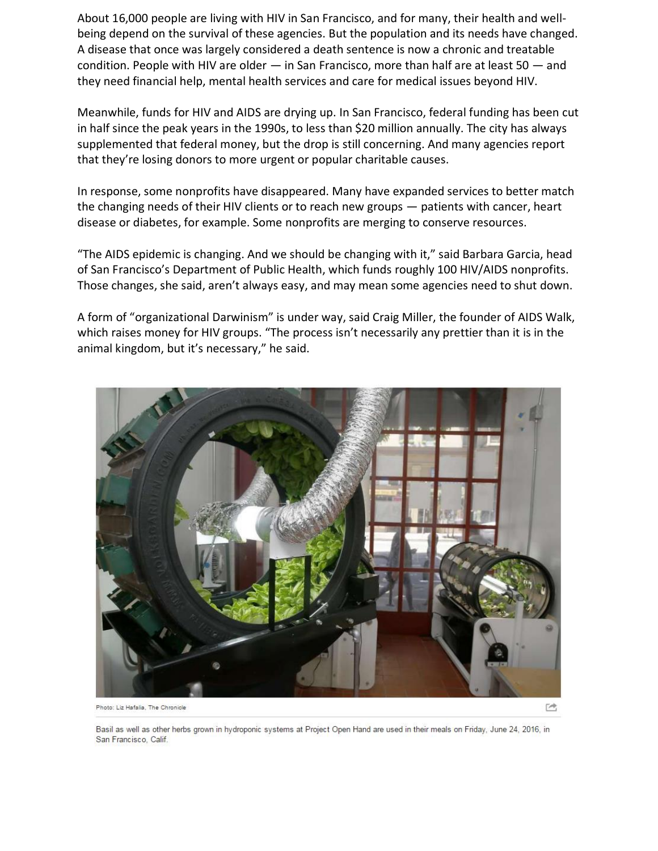About 16,000 people are living with HIV in San Francisco, and for many, their health and wellbeing depend on the survival of these agencies. But the population and its needs have changed. A disease that once was largely considered a death sentence is now a chronic and treatable condition. People with HIV are older — in San Francisco, more than half are at least 50 — and they need financial help, mental health services and care for medical issues beyond HIV.

Meanwhile, funds for HIV and AIDS are drying up. In San Francisco, federal funding has been cut in half since the peak years in the 1990s, to less than \$20 million annually. The city has always supplemented that federal money, but the drop is still concerning. And many agencies report that they're losing donors to more urgent or popular charitable causes.

In response, some nonprofits have disappeared. Many have expanded services to better match the changing needs of their HIV clients or to reach new groups — patients with cancer, heart disease or diabetes, for example. Some nonprofits are merging to conserve resources.

"The AIDS epidemic is changing. And we should be changing with it," said Barbara Garcia, head of San Francisco's Department of Public Health, which funds roughly 100 HIV/AIDS nonprofits. Those changes, she said, aren't always easy, and may mean some agencies need to shut down.

A form of "organizational Darwinism" is under way, said Craig Miller, the founder of AIDS Walk, which raises money for HIV groups. "The process isn't necessarily any prettier than it is in the animal kingdom, but it's necessary," he said.



Photo: Liz Hafalia, The Chronicle

 $\rightarrow$ 

Basil as well as other herbs grown in hydroponic systems at Project Open Hand are used in their meals on Friday, June 24, 2016, in San Francisco, Calif.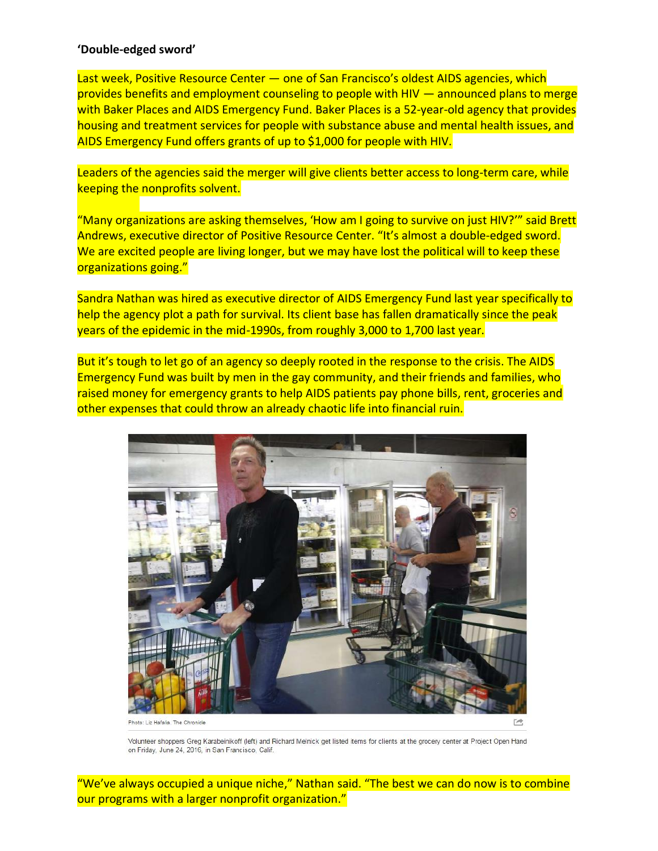## **'Double-edged sword'**

Last week, Positive Resource Center – one of San Francisco's oldest AIDS agencies, which provides benefits and employment counseling to people with HIV — announced plans to merge with Baker Places and AIDS Emergency Fund. Baker Places is a 52-year-old agency that provides housing and treatment services for people with substance abuse and mental health issues, and AIDS Emergency Fund offers grants of up to \$1,000 for people with HIV.

Leaders of the agencies said the merger will give clients better access to long-term care, while keeping the nonprofits solvent.

"Many organizations are asking themselves, 'How am I going to survive on just HIV?'" said Brett Andrews, executive director of Positive Resource Center. "It's almost a double-edged sword. We are excited people are living longer, but we may have lost the political will to keep these organizations going."

Sandra Nathan was hired as executive director of AIDS Emergency Fund last year specifically to help the agency plot a path for survival. Its client base has fallen dramatically since the peak years of the epidemic in the mid-1990s, from roughly 3,000 to 1,700 last year.

But it's tough to let go of an agency so deeply rooted in the response to the crisis. The AIDS Emergency Fund was built by men in the gay community, and their friends and families, who raised money for emergency grants to help AIDS patients pay phone bills, rent, groceries and other expenses that could throw an already chaotic life into financial ruin.



Volunteer shoppers Greg Karabeinikoff (left) and Richard Melnick get listed items for clients at the grocery center at Project Open Hand on Friday, June 24, 2016, in San Francisco, Calif.

"We've always occupied a unique niche," Nathan said. "The best we can do now is to combine our programs with a larger nonprofit organization."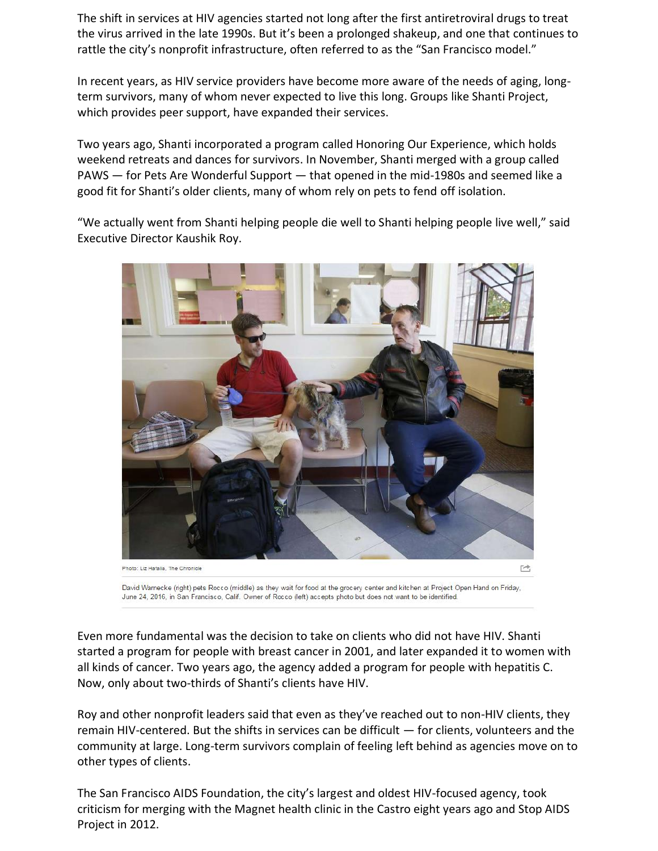The shift in services at HIV agencies started not long after the first antiretroviral drugs to treat the virus arrived in the late 1990s. But it's been a prolonged shakeup, and one that continues to rattle the city's nonprofit infrastructure, often referred to as the "San Francisco model."

In recent years, as HIV service providers have become more aware of the needs of aging, longterm survivors, many of whom never expected to live this long. Groups like Shanti Project, which provides peer support, have expanded their services.

Two years ago, Shanti incorporated a program called Honoring Our Experience, which holds weekend retreats and dances for survivors. In November, Shanti merged with a group called PAWS — for Pets Are Wonderful Support — that opened in the mid-1980s and seemed like a good fit for Shanti's older clients, many of whom rely on pets to fend off isolation.

"We actually went from Shanti helping people die well to Shanti helping people live well," said Executive Director Kaushik Roy.



David Warnecke (right) pets Rocco (middle) as they wait for food at the grocery center and kitchen at Project Open Hand on Friday, June 24, 2016, in San Francisco, Calif. Owner of Rocco (left) accepts photo but does not want to be identified.

Even more fundamental was the decision to take on clients who did not have HIV. Shanti started a program for people with breast cancer in 2001, and later expanded it to women with all kinds of cancer. Two years ago, the agency added a program for people with hepatitis C. Now, only about two-thirds of Shanti's clients have HIV.

Roy and other nonprofit leaders said that even as they've reached out to non-HIV clients, they remain HIV-centered. But the shifts in services can be difficult — for clients, volunteers and the community at large. Long-term survivors complain of feeling left behind as agencies move on to other types of clients.

The San Francisco AIDS Foundation, the city's largest and oldest HIV-focused agency, took criticism for merging with the Magnet health clinic in the Castro eight years ago and Stop AIDS Project in 2012.